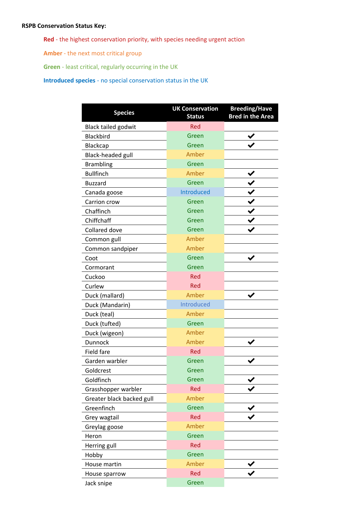## **RSPB Conservation Status Key:**

**Red** - the highest conservation priority, with species needing urgent action

**Amber** - the next most critical group

**Green** - least critical, regularly occurring in the UK

**Introduced species** - no special conservation status in the UK

| <b>Species</b>             | <b>UK Conservation</b><br><b>Status</b> | <b>Breeding/Have</b><br><b>Bred in the Area</b> |
|----------------------------|-----------------------------------------|-------------------------------------------------|
| <b>Black tailed godwit</b> | <b>Red</b>                              |                                                 |
| <b>Blackbird</b>           | Green                                   |                                                 |
| <b>Blackcap</b>            | Green                                   |                                                 |
| Black-headed gull          | Amber                                   |                                                 |
| <b>Brambling</b>           | Green                                   |                                                 |
| <b>Bullfinch</b>           | Amber                                   |                                                 |
| <b>Buzzard</b>             | Green                                   |                                                 |
| Canada goose               | Introduced                              |                                                 |
| Carrion crow               | Green                                   |                                                 |
| Chaffinch                  | Green                                   |                                                 |
| Chiffchaff                 | Green                                   |                                                 |
| <b>Collared dove</b>       | Green                                   |                                                 |
| Common gull                | Amber                                   |                                                 |
| Common sandpiper           | Amber                                   |                                                 |
| Coot                       | Green                                   |                                                 |
| Cormorant                  | Green                                   |                                                 |
| Cuckoo                     | Red                                     |                                                 |
| Curlew                     | Red                                     |                                                 |
| Duck (mallard)             | Amber                                   |                                                 |
| Duck (Mandarin)            | Introduced                              |                                                 |
| Duck (teal)                | Amber                                   |                                                 |
| Duck (tufted)              | Green                                   |                                                 |
| Duck (wigeon)              | Amber                                   |                                                 |
| Dunnock                    | Amber                                   |                                                 |
| <b>Field fare</b>          | Red                                     |                                                 |
| Garden warbler             | Green                                   |                                                 |
| Goldcrest                  | Green                                   |                                                 |
| Goldfinch                  | Green                                   |                                                 |
| Grasshopper warbler        | Red                                     |                                                 |
| Greater black backed gull  | Amber                                   |                                                 |
| Greenfinch                 | Green                                   |                                                 |
| Grey wagtail               | Red                                     |                                                 |
| Greylag goose              | Amber                                   |                                                 |
| Heron                      | Green                                   |                                                 |
| Herring gull               | Red                                     |                                                 |
| Hobby                      | Green                                   |                                                 |
| House martin               | Amber                                   |                                                 |
| House sparrow              | <b>Red</b>                              |                                                 |
| Jack snipe                 | Green                                   |                                                 |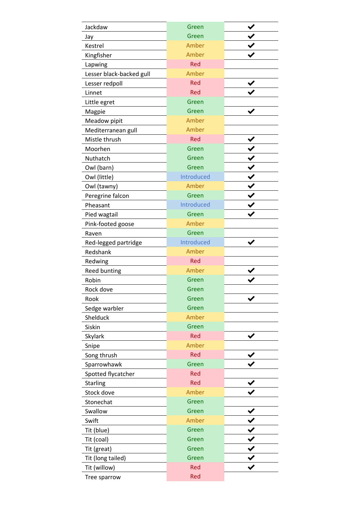| Jackdaw                  | Green      |  |
|--------------------------|------------|--|
| Jay                      | Green      |  |
| Kestrel                  | Amber      |  |
| Kingfisher               | Amber      |  |
| Lapwing                  | Red        |  |
| Lesser black-backed gull | Amber      |  |
| Lesser redpoll           | Red        |  |
| Linnet                   | Red        |  |
| Little egret             | Green      |  |
| Magpie                   | Green      |  |
| Meadow pipit             | Amber      |  |
| Mediterranean gull       | Amber      |  |
| Mistle thrush            | Red        |  |
| Moorhen                  | Green      |  |
| Nuthatch                 | Green      |  |
| Owl (barn)               | Green      |  |
| Owl (little)             | Introduced |  |
| Owl (tawny)              | Amber      |  |
| Peregrine falcon         | Green      |  |
| Pheasant                 | Introduced |  |
| Pied wagtail             | Green      |  |
| Pink-footed goose        | Amber      |  |
| Raven                    | Green      |  |
| Red-legged partridge     | Introduced |  |
| Redshank                 | Amber      |  |
| Redwing                  | Red        |  |
| Reed bunting             | Amber      |  |
| Robin                    | Green      |  |
| Rock dove                | Green      |  |
| Rook                     | Green      |  |
| Sedge warbler            | Green      |  |
| Shelduck                 | Amber      |  |
| Siskin                   | Green      |  |
| Skylark                  | <b>Red</b> |  |
| Snipe                    | Amber      |  |
| Song thrush              | Red        |  |
| Sparrowhawk              | Green      |  |
| Spotted flycatcher       | <b>Red</b> |  |
| <b>Starling</b>          | <b>Red</b> |  |
| Stock dove               | Amber      |  |
| Stonechat                | Green      |  |
| Swallow                  | Green      |  |
| Swift                    | Amber      |  |
| Tit (blue)               | Green      |  |
| Tit (coal)               | Green      |  |
| Tit (great)              | Green      |  |
| Tit (long tailed)        | Green      |  |
| Tit (willow)             | <b>Red</b> |  |
| Tree sparrow             | <b>Red</b> |  |